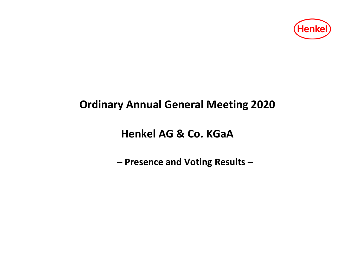

# **Ordinary Annual General Meeting 2020**

**Henkel AG & Co. KGaA**

**– Presence and Voting Results –**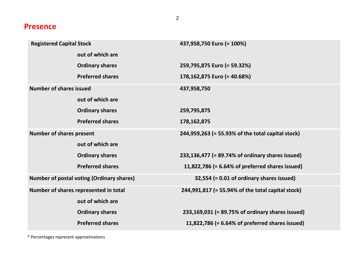#### **Presence**

| <b>Registered Capital Stock</b>                  |                         | 437,958,750 Euro (= 100%)                         |  |  |  |  |
|--------------------------------------------------|-------------------------|---------------------------------------------------|--|--|--|--|
|                                                  | out of which are        |                                                   |  |  |  |  |
|                                                  | <b>Ordinary shares</b>  | 259,795,875 Euro (= 59.32%)                       |  |  |  |  |
|                                                  | <b>Preferred shares</b> | 178,162,875 Euro (= 40.68%)                       |  |  |  |  |
| <b>Number of shares issued</b>                   |                         | 437,958,750                                       |  |  |  |  |
|                                                  | out of which are        |                                                   |  |  |  |  |
|                                                  | <b>Ordinary shares</b>  | 259,795,875                                       |  |  |  |  |
|                                                  | <b>Preferred shares</b> | 178, 162, 875                                     |  |  |  |  |
| <b>Number of shares present</b>                  |                         | 244,959,263 (= 55.93% of the total capital stock) |  |  |  |  |
|                                                  | out of which are        |                                                   |  |  |  |  |
|                                                  | <b>Ordinary shares</b>  | 233,136,477 (= 89.74% of ordinary shares issued)  |  |  |  |  |
|                                                  | <b>Preferred shares</b> | 11,822,786 (= 6.64% of preferred shares issued)   |  |  |  |  |
| <b>Number of postal voting (Ordinary shares)</b> |                         | 32,554 (= 0.01 of ordinary shares issued)         |  |  |  |  |
| Number of shares represented in total            |                         | 244,991,817 (= 55.94% of the total capital stock) |  |  |  |  |
|                                                  | out of which are        |                                                   |  |  |  |  |
|                                                  | <b>Ordinary shares</b>  | 233,169,031 (= 89.75% of ordinary shares issued)  |  |  |  |  |
|                                                  | <b>Preferred shares</b> | 11,822,786 (= 6.64% of preferred shares issued)   |  |  |  |  |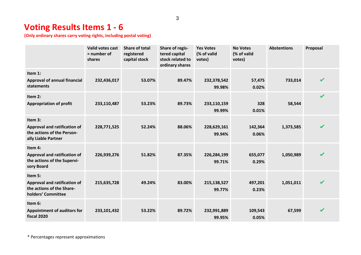# **Voting Results Items 1 - 6**

**(Only ordinary shares carry voting rights, including postal voting)**

|                                                                                                     | <b>Valid votes cast</b><br>$=$ number of<br>shares | Share of total<br>registered<br>capital stock | <b>Share of regis-</b><br>tered capital<br>stock related to<br>ordinary shares | <b>Yes Votes</b><br>(% of valid<br>votes) | <b>No Votes</b><br>(% of valid<br>votes) | <b>Abstentions</b> | Proposal                   |
|-----------------------------------------------------------------------------------------------------|----------------------------------------------------|-----------------------------------------------|--------------------------------------------------------------------------------|-------------------------------------------|------------------------------------------|--------------------|----------------------------|
| Item 1:<br><b>Approval of annual financial</b><br>statements                                        | 232,436,017                                        | 53.07%                                        | 89.47%                                                                         | 232,378,542<br>99.98%                     | 57,475<br>0.02%                          | 733,014            | $\boldsymbol{\mathscr{C}}$ |
| Item 2:<br><b>Appropriation of profit</b>                                                           | 233,110,487                                        | 53.23%                                        | 89.73%                                                                         | 233,110,159<br>99.99%                     | 328<br>0.01%                             | 58,544             | $\boldsymbol{\mathcal{U}}$ |
| Item 3:<br><b>Approval and ratification of</b><br>the actions of the Person-<br>ally Liable Partner | 228,771,525                                        | 52.24%                                        | 88.06%                                                                         | 228,629,161<br>99.94%                     | 142,364<br>0.06%                         | 1,373,585          | $\boldsymbol{\mathscr{C}}$ |
| Item 4:<br><b>Approval and ratification of</b><br>the actions of the Supervi-<br>sory Board         | 226,939,276                                        | 51.82%                                        | 87.35%                                                                         | 226,284,199<br>99.71%                     | 655,077<br>0.29%                         | 1,050,989          | $\boldsymbol{\mathcal{U}}$ |
| Item 5:<br><b>Approval and ratification of</b><br>the actions of the Share-<br>holders' Committee   | 215,635,728                                        | 49.24%                                        | 83.00%                                                                         | 215,138,527<br>99.77%                     | 497,201<br>0.23%                         | 1,051,011          | $\boldsymbol{\mathcal{U}}$ |
| Item 6:<br><b>Appointment of auditors for</b><br>fiscal 2020                                        | 233,101,432                                        | 53.22%                                        | 89.72%                                                                         | 232,991,889<br>99.95%                     | 109,543<br>0.05%                         | 67,599             | $\boldsymbol{\mathcal{U}}$ |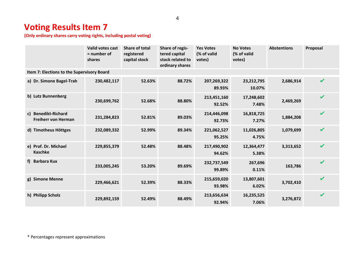# **Voting Results Item 7**

**(Only ordinary shares carry voting rights, including postal voting)**

|                                                   | <b>Valid votes cast</b><br>$=$ number of<br>shares | <b>Share of total</b><br>registered<br>capital stock | Share of regis-<br>tered capital<br>stock related to<br>ordinary shares | <b>Yes Votes</b><br>(% of valid<br>votes) | <b>No Votes</b><br>(% of valid<br>votes) | <b>Abstentions</b> | Proposal                   |
|---------------------------------------------------|----------------------------------------------------|------------------------------------------------------|-------------------------------------------------------------------------|-------------------------------------------|------------------------------------------|--------------------|----------------------------|
| Item 7: Elections to the Supervisory Board        |                                                    |                                                      |                                                                         |                                           |                                          |                    |                            |
| a) Dr. Simone Bagel-Trah                          | 230,482,117                                        | 52.63%                                               | 88.72%                                                                  | 207,269,322<br>89.93%                     | 23,212,795<br>10.07%                     | 2,686,914          | $\mathbf{v}$               |
| b) Lutz Bunnenberg                                | 230,699,762                                        | 52.68%                                               | 88.80%                                                                  | 213,451,160<br>92.52%                     | 17,248,602<br>7.48%                      | 2,469,269          | $\mathbf{v}$               |
| c) Benedikt-Richard<br><b>Freiherr von Herman</b> | 231,284,823                                        | 52.81%                                               | 89.03%                                                                  | 214,446,098<br>92.73%                     | 16,818,725<br>7.27%                      | 1,884,208          | $\boldsymbol{\mathscr{C}}$ |
| d) Timotheus Höttges                              | 232,089,332                                        | 52.99%                                               | 89.34%                                                                  | 221,062,527<br>95.25%                     | 11,026,805<br>4.75%                      | 1,079,699          | $\boldsymbol{\nu}$         |
| e) Prof. Dr. Michael<br><b>Kaschke</b>            | 229,855,379                                        | 52.48%                                               | 88.48%                                                                  | 217,490,902<br>94.62%                     | 12,364,477<br>5.38%                      | 3,313,652          | $\boldsymbol{\nu}$         |
| <b>Barbara Kux</b><br>f)                          | 233,005,245                                        | 53.20%                                               | 89.69%                                                                  | 232,737,549<br>99.89%                     | 267,696<br>0.11%                         | 163,786            | $\mathbf{v}$               |
| g) Simone Menne                                   | 229,466,621                                        | 52.39%                                               | 88.33%                                                                  | 215,659,020<br>93.98%                     | 13,807,601<br>6.02%                      | 3,702,410          | $\mathbf{v}$               |
| h) Philipp Scholz                                 | 229,892,159                                        | 52.49%                                               | 88.49%                                                                  | 213,656,634<br>92.94%                     | 16,235,525<br>7.06%                      | 3,276,872          | ✓                          |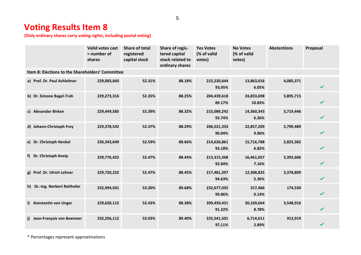# **Voting Results Item 8**

**(Only ordinary shares carry voting rights, including postal voting)**

|                                                  | Valid votes cast<br>$=$ number of<br>shares | <b>Share of total</b><br>registered<br>capital stock | Share of regis-<br>tered capital<br>stock related to<br>ordinary shares | <b>Yes Votes</b><br>(% of valid<br>votes) | <b>No Votes</b><br>(% of valid<br>votes) | <b>Abstentions</b> | Proposal     |  |  |
|--------------------------------------------------|---------------------------------------------|------------------------------------------------------|-------------------------------------------------------------------------|-------------------------------------------|------------------------------------------|--------------------|--------------|--|--|
| Item 8: Elections to the Shareholders' Committee |                                             |                                                      |                                                                         |                                           |                                          |                    |              |  |  |
| a) Prof. Dr. Paul Achleitner                     | 229,083,660                                 | 52.31%                                               | 88.18%                                                                  | 215,220,644<br>93,95%                     | 13,863,016<br>6.05%                      | 4,085,371          | $\mathbf{v}$ |  |  |
| b) Dr. Simone Bagel-Trah                         | 229,273,316                                 | 52.35%                                               | 88.25%                                                                  | 204,439,618<br>89.17%                     | 24,833,698<br>10.83%                     | 3,895,715          | $\mathbf{v}$ |  |  |
| c) Alexander Birken                              | 229,449,585                                 | 52.39%                                               | 88.32%                                                                  | 215,089,242<br>93.74%                     | 14,360,343<br>6.26%                      | 3,719,446          | ✓            |  |  |
| d) Johann-Christoph Frey                         | 229,378,542                                 | 52.37%                                               | 88.29%                                                                  | 206,521,333<br>90.04%                     | 22,857,209<br>9.96%                      | 3,790,489          | ✓            |  |  |
| e) Dr. Christoph Henkel                          | 230,343,649                                 | 52.59%                                               | 88.66%                                                                  | 214,626,861<br>93.18%                     | 15,716,788<br>6.82%                      | 2,825,382          | ✓            |  |  |
| f) Dr. Christoph Kneip                           | 229,776,425                                 | 52.47%                                               | 88.44%                                                                  | 213,315,368<br>92.84%                     | 16,461,057<br>7.16%                      | 3,392,606          | ✓            |  |  |
| g) Prof. Dr. Ulrich Lehner                       | 229,720,222                                 | 52.47%                                               | 88.45%                                                                  | 217,481,397<br>94.63%                     | 12,308,825<br>5.36%                      | 3,378,809          | ✓            |  |  |
| Dr.-Ing. Norbert Reithofer<br>h)                 | 232,994,501                                 | 53.20%                                               | 89.68%                                                                  | 232,677,035<br>99.86%                     | 317,466<br>0.14%                         | 174,530            | ✓            |  |  |
| <b>Konstantin von Unger</b><br>i)                | 229,620,115                                 | 52.43%                                               | 88.38%                                                                  | 209,450,451<br>91.22%                     | 20,169,664<br>8.78%                      | 3,548,916          | ✔            |  |  |
| Jean-François van Boxmeer<br>i)                  | 232,256,112                                 | 53.03%                                               | 89.40%                                                                  | 225,541,501<br>97,11%                     | 6,714,611<br>2.89%                       | 912,919            | ✔            |  |  |